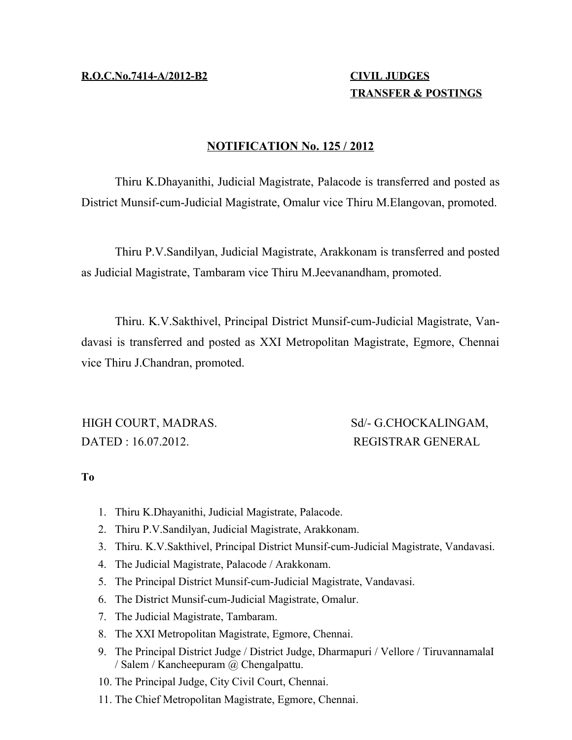**R.O.C.No.7414-A/2012-B2 CIVIL JUDGES**

## **TRANSFER & POSTINGS**

## **NOTIFICATION No. 125 / 2012**

Thiru K.Dhayanithi, Judicial Magistrate, Palacode is transferred and posted as District Munsif-cum-Judicial Magistrate, Omalur vice Thiru M.Elangovan, promoted.

Thiru P.V.Sandilyan, Judicial Magistrate, Arakkonam is transferred and posted as Judicial Magistrate, Tambaram vice Thiru M.Jeevanandham, promoted.

Thiru. K.V.Sakthivel, Principal District Munsif-cum-Judicial Magistrate, Vandavasi is transferred and posted as XXI Metropolitan Magistrate, Egmore, Chennai vice Thiru J.Chandran, promoted.

DATED : 16.07.2012. REGISTRAR GENERAL

HIGH COURT, MADRAS. Sd/- G.CHOCKALINGAM,

**To**

- 1. Thiru K.Dhayanithi, Judicial Magistrate, Palacode.
- 2. Thiru P.V.Sandilyan, Judicial Magistrate, Arakkonam.
- 3. Thiru. K.V.Sakthivel, Principal District Munsif-cum-Judicial Magistrate, Vandavasi.
- 4. The Judicial Magistrate, Palacode / Arakkonam.
- 5. The Principal District Munsif-cum-Judicial Magistrate, Vandavasi.
- 6. The District Munsif-cum-Judicial Magistrate, Omalur.
- 7. The Judicial Magistrate, Tambaram.
- 8. The XXI Metropolitan Magistrate, Egmore, Chennai.
- 9. The Principal District Judge / District Judge, Dharmapuri / Vellore / TiruvannamalaI / Salem / Kancheepuram @ Chengalpattu.
- 10. The Principal Judge, City Civil Court, Chennai.
- 11. The Chief Metropolitan Magistrate, Egmore, Chennai.